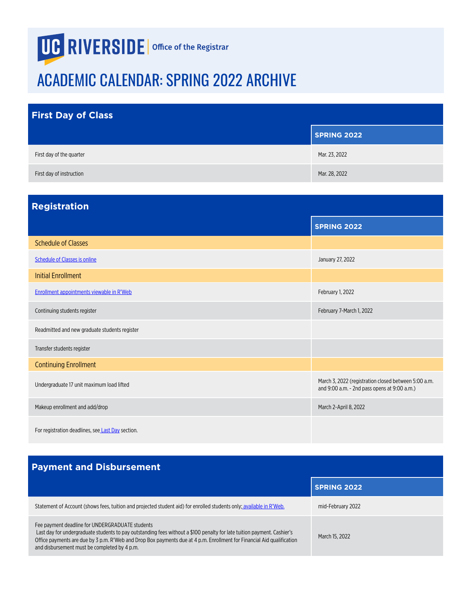## <span id="page-0-0"></span>**UG RIVERSIDE** | Office of the Registrar

## ACADEMIC CALENDAR: SPRING 2022 ARCHIVE

| <b>First Day of Class</b> |                    |
|---------------------------|--------------------|
|                           | <b>SPRING 2022</b> |
| First day of the quarter  | Mar. 23, 2022      |
| First day of instruction  | Mar. 28, 2022      |

| <b>Registration</b>                               |                                                                                                      |
|---------------------------------------------------|------------------------------------------------------------------------------------------------------|
|                                                   | <b>SPRING 2022</b>                                                                                   |
| <b>Schedule of Classes</b>                        |                                                                                                      |
| <b>Schedule of Classes is online</b>              | January 27, 2022                                                                                     |
| <b>Initial Enrollment</b>                         |                                                                                                      |
| Enrollment appointments viewable in R'Web         | February 1, 2022                                                                                     |
| Continuing students register                      | February 7-March 1, 2022                                                                             |
| Readmitted and new graduate students register     |                                                                                                      |
| Transfer students register                        |                                                                                                      |
| <b>Continuing Enrollment</b>                      |                                                                                                      |
| Undergraduate 17 unit maximum load lifted         | March 3, 2022 (registration closed between 5:00 a.m.<br>and 9:00 a.m. - 2nd pass opens at 9:00 a.m.) |
| Makeup enrollment and add/drop                    | March 2-April 8, 2022                                                                                |
| For registration deadlines, see Last Day section. |                                                                                                      |

## **Payment and Disbursement**

|                                                                                                                                                                                                                                                                                                                                                      | <b>SPRING 2022</b> |
|------------------------------------------------------------------------------------------------------------------------------------------------------------------------------------------------------------------------------------------------------------------------------------------------------------------------------------------------------|--------------------|
| Statement of Account (shows fees, tuition and projected student aid) for enrolled students only; available in R'Web.                                                                                                                                                                                                                                 | mid-February 2022  |
| Fee payment deadline for UNDERGRADUATE students<br>Last day for undergraduate students to pay outstanding fees without a \$100 penalty for late tuition payment. Cashier's<br>Office payments are due by 3 p.m. R'Web and Drop Box payments due at 4 p.m. Enrollment for Financial Aid qualification<br>and disbursement must be completed by 4 p.m. | March 15, 2022     |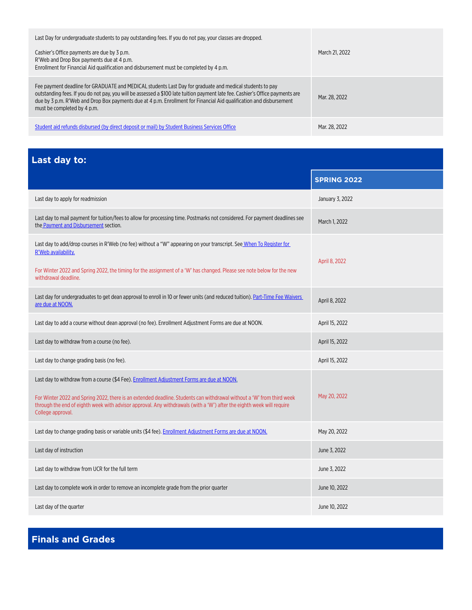<span id="page-1-0"></span>

| Last Day for undergraduate students to pay outstanding fees. If you do not pay, your classes are dropped.                                                                                                                                                                                                                                                                                        |                |
|--------------------------------------------------------------------------------------------------------------------------------------------------------------------------------------------------------------------------------------------------------------------------------------------------------------------------------------------------------------------------------------------------|----------------|
| Cashier's Office payments are due by 3 p.m.<br>R'Web and Drop Box payments due at 4 p.m.<br>Enrollment for Financial Aid qualification and disbursement must be completed by 4 p.m.                                                                                                                                                                                                              | March 21, 2022 |
| Fee payment deadline for GRADUATE and MEDICAL students Last Day for graduate and medical students to pay<br>outstanding fees. If you do not pay, you will be assessed a \$100 late tuition payment late fee. Cashier's Office payments are<br>due by 3 p.m. R'Web and Drop Box payments due at 4 p.m. Enrollment for Financial Aid qualification and disbursement<br>must be completed by 4 p.m. | Mar. 28. 2022  |
| Student aid refunds disbursed (by direct deposit or mail) by Student Business Services Office                                                                                                                                                                                                                                                                                                    | Mar. 28. 2022  |

**Last day to:**

| Last uay tu.                                                                                                                                                                                                                                                                                                                                                      |                    |
|-------------------------------------------------------------------------------------------------------------------------------------------------------------------------------------------------------------------------------------------------------------------------------------------------------------------------------------------------------------------|--------------------|
|                                                                                                                                                                                                                                                                                                                                                                   | <b>SPRING 2022</b> |
| Last day to apply for readmission                                                                                                                                                                                                                                                                                                                                 | January 3, 2022    |
| Last day to mail payment for tuition/fees to allow for processing time. Postmarks not considered. For payment deadlines see<br>the Payment and Disbursement section.                                                                                                                                                                                              | March 1, 2022      |
| Last day to add/drop courses in R'Web (no fee) without a "W" appearing on your transcript. See When To Register for<br>R'Web availability.                                                                                                                                                                                                                        | April 8, 2022      |
| For Winter 2022 and Spring 2022, the timing for the assignment of a 'W' has changed. Please see note below for the new<br>withdrawal deadline.                                                                                                                                                                                                                    |                    |
| Last day for undergraduates to get dean approval to enroll in 10 or fewer units (and reduced tuition). Part-Time Fee Waivers<br>are due at NOON.                                                                                                                                                                                                                  | April 8, 2022      |
| Last day to add a course without dean approval (no fee). Enrollment Adjustment Forms are due at NOON.                                                                                                                                                                                                                                                             | April 15, 2022     |
| Last day to withdraw from a course (no fee).                                                                                                                                                                                                                                                                                                                      | April 15, 2022     |
| Last day to change grading basis (no fee).                                                                                                                                                                                                                                                                                                                        | April 15, 2022     |
| Last day to withdraw from a course (\$4 Fee). Enrollment Adjustment Forms are due at NOON.<br>For Winter 2022 and Spring 2022, there is an extended deadline. Students can withdrawal without a 'W' from third week<br>through the end of eighth week with advisor approval. Any withdrawals (with a 'W') after the eighth week will require<br>College approval. | May 20, 2022       |
| Last day to change grading basis or variable units (\$4 fee). Enrollment Adjustment Forms are due at NOON.                                                                                                                                                                                                                                                        | May 20, 2022       |
| Last day of instruction                                                                                                                                                                                                                                                                                                                                           | June 3, 2022       |
| Last day to withdraw from UCR for the full term                                                                                                                                                                                                                                                                                                                   | June 3, 2022       |
| Last day to complete work in order to remove an incomplete grade from the prior quarter                                                                                                                                                                                                                                                                           | June 10, 2022      |
| Last day of the quarter                                                                                                                                                                                                                                                                                                                                           | June 10, 2022      |

**Finals and Grades**